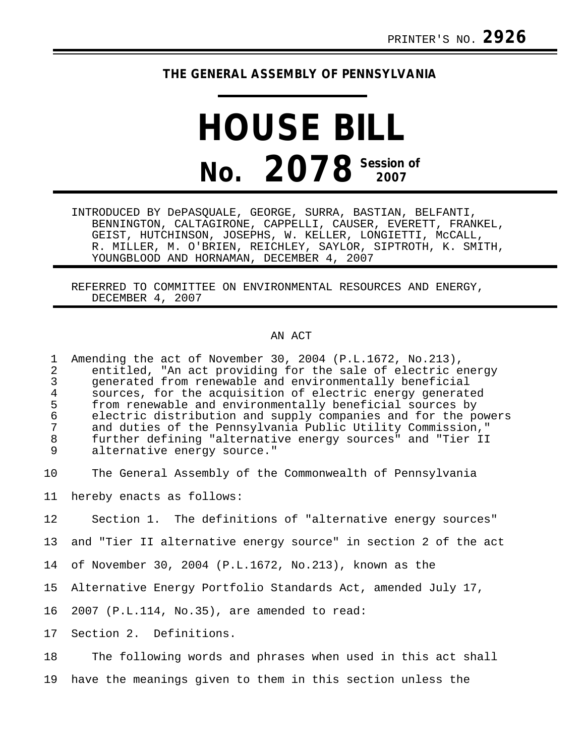## **THE GENERAL ASSEMBLY OF PENNSYLVANIA**

## **HOUSE BILL No. 2078 Session of 2007**

INTRODUCED BY DePASQUALE, GEORGE, SURRA, BASTIAN, BELFANTI, BENNINGTON, CALTAGIRONE, CAPPELLI, CAUSER, EVERETT, FRANKEL, GEIST, HUTCHINSON, JOSEPHS, W. KELLER, LONGIETTI, McCALL, R. MILLER, M. O'BRIEN, REICHLEY, SAYLOR, SIPTROTH, K. SMITH, YOUNGBLOOD AND HORNAMAN, DECEMBER 4, 2007

REFERRED TO COMMITTEE ON ENVIRONMENTAL RESOURCES AND ENERGY, DECEMBER 4, 2007

## AN ACT

| $\mathbf{1}$<br>$\overline{a}$<br>$\frac{3}{4}$<br>5<br>$\epsilon$<br>$\overline{7}$<br>$\,8\,$<br>9 | Amending the act of November 30, 2004 (P.L.1672, No.213),<br>entitled, "An act providing for the sale of electric energy<br>generated from renewable and environmentally beneficial<br>sources, for the acquisition of electric energy generated<br>from renewable and environmentally beneficial sources by<br>electric distribution and supply companies and for the powers<br>and duties of the Pennsylvania Public Utility Commission,"<br>further defining "alternative energy sources" and "Tier II<br>alternative energy source." |
|------------------------------------------------------------------------------------------------------|------------------------------------------------------------------------------------------------------------------------------------------------------------------------------------------------------------------------------------------------------------------------------------------------------------------------------------------------------------------------------------------------------------------------------------------------------------------------------------------------------------------------------------------|
| 10                                                                                                   | The General Assembly of the Commonwealth of Pennsylvania                                                                                                                                                                                                                                                                                                                                                                                                                                                                                 |
| 11                                                                                                   | hereby enacts as follows:                                                                                                                                                                                                                                                                                                                                                                                                                                                                                                                |
| 12                                                                                                   | Section 1. The definitions of "alternative energy sources"                                                                                                                                                                                                                                                                                                                                                                                                                                                                               |
| 13                                                                                                   | and "Tier II alternative energy source" in section 2 of the act                                                                                                                                                                                                                                                                                                                                                                                                                                                                          |
| 14                                                                                                   | of November 30, 2004 (P.L.1672, No.213), known as the                                                                                                                                                                                                                                                                                                                                                                                                                                                                                    |
| 15                                                                                                   | Alternative Energy Portfolio Standards Act, amended July 17,                                                                                                                                                                                                                                                                                                                                                                                                                                                                             |
| 16                                                                                                   | 2007 (P.L.114, No.35), are amended to read:                                                                                                                                                                                                                                                                                                                                                                                                                                                                                              |
| 17                                                                                                   | Section 2. Definitions.                                                                                                                                                                                                                                                                                                                                                                                                                                                                                                                  |
| 18                                                                                                   | The following words and phrases when used in this act shall                                                                                                                                                                                                                                                                                                                                                                                                                                                                              |
| 19                                                                                                   | have the meanings given to them in this section unless the                                                                                                                                                                                                                                                                                                                                                                                                                                                                               |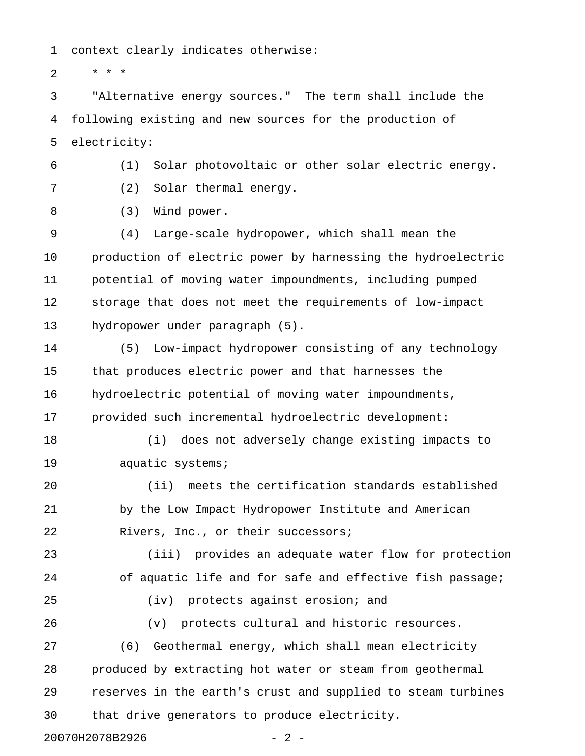1 context clearly indicates otherwise:

2  $* * * *$ 

3 "Alternative energy sources." The term shall include the 4 following existing and new sources for the production of 5 electricity:

6 (1) Solar photovoltaic or other solar electric energy.

7 (2) Solar thermal energy.

8 (3) Wind power.

9 (4) Large-scale hydropower, which shall mean the 10 production of electric power by harnessing the hydroelectric 11 potential of moving water impoundments, including pumped 12 storage that does not meet the requirements of low-impact 13 hydropower under paragraph (5).

14 (5) Low-impact hydropower consisting of any technology 15 that produces electric power and that harnesses the 16 hydroelectric potential of moving water impoundments, 17 provided such incremental hydroelectric development:

18 (i) does not adversely change existing impacts to 19 aquatic systems;

20 (ii) meets the certification standards established 21 by the Low Impact Hydropower Institute and American 22 Rivers, Inc., or their successors;

23 (iii) provides an adequate water flow for protection 24 of aquatic life and for safe and effective fish passage; 25 (iv) protects against erosion; and 26 (v) protects cultural and historic resources.

27 (6) Geothermal energy, which shall mean electricity 28 produced by extracting hot water or steam from geothermal 29 reserves in the earth's crust and supplied to steam turbines 30 that drive generators to produce electricity.

20070H2078B2926 - 2 -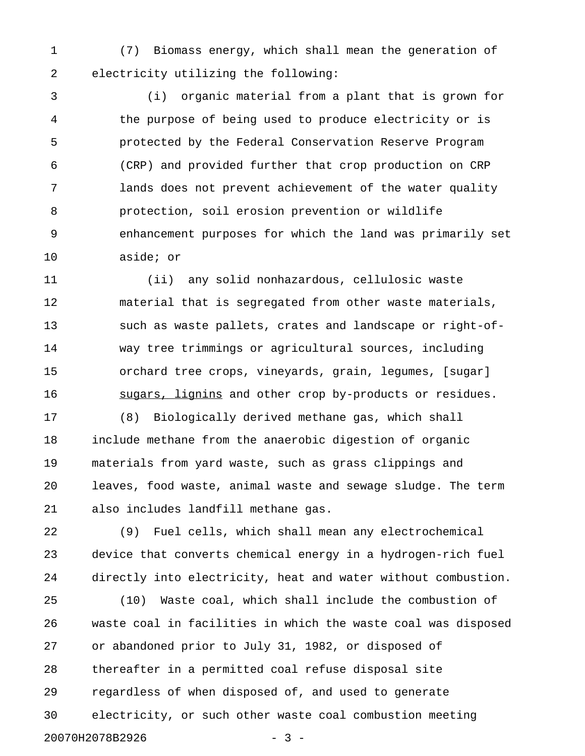1 (7) Biomass energy, which shall mean the generation of 2 electricity utilizing the following:

3 (i) organic material from a plant that is grown for 4 the purpose of being used to produce electricity or is 5 protected by the Federal Conservation Reserve Program 6 (CRP) and provided further that crop production on CRP 7 lands does not prevent achievement of the water quality 8 protection, soil erosion prevention or wildlife 9 enhancement purposes for which the land was primarily set 10 aside; or

11 (ii) any solid nonhazardous, cellulosic waste 12 material that is segregated from other waste materials, 13 such as waste pallets, crates and landscape or right-of-14 way tree trimmings or agricultural sources, including 15 orchard tree crops, vineyards, grain, legumes, [sugar] 16 sugars, lignins and other crop by-products or residues.

17 (8) Biologically derived methane gas, which shall 18 include methane from the anaerobic digestion of organic 19 materials from yard waste, such as grass clippings and 20 leaves, food waste, animal waste and sewage sludge. The term 21 also includes landfill methane gas.

22 (9) Fuel cells, which shall mean any electrochemical 23 device that converts chemical energy in a hydrogen-rich fuel 24 directly into electricity, heat and water without combustion.

25 (10) Waste coal, which shall include the combustion of 26 waste coal in facilities in which the waste coal was disposed 27 or abandoned prior to July 31, 1982, or disposed of 28 thereafter in a permitted coal refuse disposal site 29 regardless of when disposed of, and used to generate 30 electricity, or such other waste coal combustion meeting 20070H2078B2926 - 3 -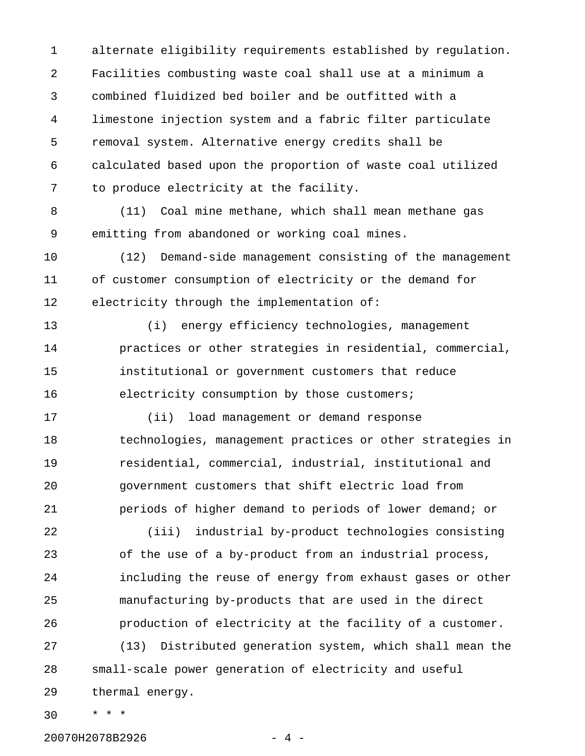1 alternate eligibility requirements established by regulation. 2 Facilities combusting waste coal shall use at a minimum a 3 combined fluidized bed boiler and be outfitted with a 4 limestone injection system and a fabric filter particulate 5 removal system. Alternative energy credits shall be 6 calculated based upon the proportion of waste coal utilized 7 to produce electricity at the facility.

8 (11) Coal mine methane, which shall mean methane gas 9 emitting from abandoned or working coal mines.

10 (12) Demand-side management consisting of the management 11 of customer consumption of electricity or the demand for 12 electricity through the implementation of:

13 (i) energy efficiency technologies, management 14 practices or other strategies in residential, commercial, 15 institutional or government customers that reduce 16 electricity consumption by those customers;

17 (ii) load management or demand response 18 technologies, management practices or other strategies in 19 residential, commercial, industrial, institutional and 20 government customers that shift electric load from 21 periods of higher demand to periods of lower demand; or

22 (iii) industrial by-product technologies consisting 23 of the use of a by-product from an industrial process, 24 including the reuse of energy from exhaust gases or other 25 manufacturing by-products that are used in the direct 26 production of electricity at the facility of a customer.

27 (13) Distributed generation system, which shall mean the 28 small-scale power generation of electricity and useful 29 thermal energy.

30 \* \* \*

20070H2078B2926 - 4 -